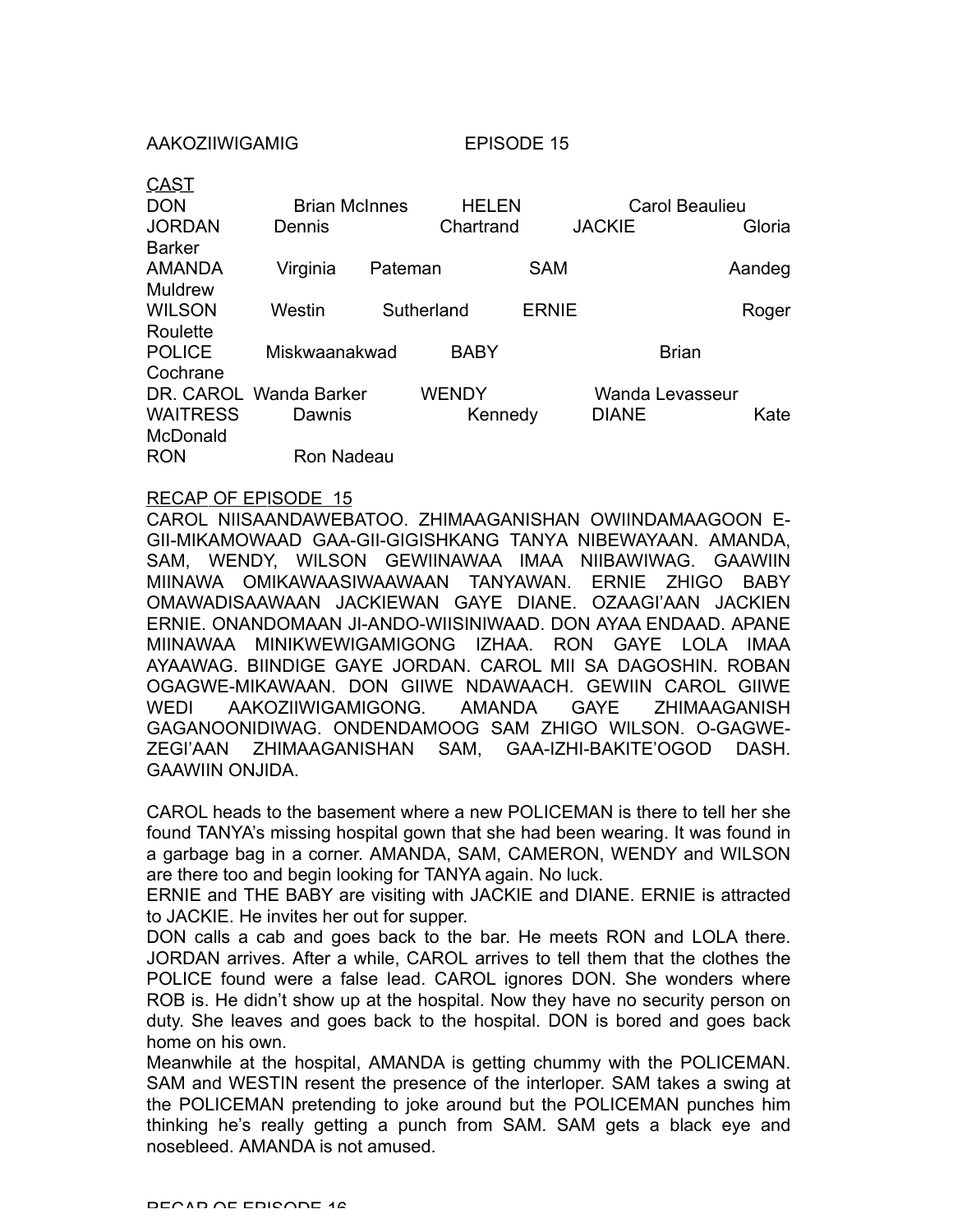AAKOZIIWIGAMIG EPISODE 15

| <u>CAST</u><br><b>DON</b> | <b>Brian McInnes</b> |            | <b>HELEN</b> |              |               | <b>Carol Beaulieu</b> |        |
|---------------------------|----------------------|------------|--------------|--------------|---------------|-----------------------|--------|
|                           |                      |            |              |              |               |                       |        |
| <b>JORDAN</b>             | Dennis               |            | Chartrand    |              | <b>JACKIE</b> |                       | Gloria |
| <b>Barker</b>             |                      |            |              |              |               |                       |        |
| AMANDA                    | Virginia             | Pateman    |              | <b>SAM</b>   |               |                       | Aandeg |
| <b>Muldrew</b>            |                      |            |              |              |               |                       |        |
| <b>WILSON</b>             | Westin               | Sutherland |              | <b>ERNIE</b> |               |                       | Roger  |
| Roulette                  |                      |            |              |              |               |                       |        |
| <b>POLICE</b>             | Miskwaanakwad        |            | <b>BABY</b>  |              |               | <b>Brian</b>          |        |
| Cochrane                  |                      |            |              |              |               |                       |        |
| DR. CAROL                 | Wanda Barker         |            | WENDY        |              |               | Wanda Levasseur       |        |
| <b>WAITRESS</b>           | Dawnis               |            | Kennedy      |              | <b>DIANE</b>  |                       | Kate   |
| <b>McDonald</b>           |                      |            |              |              |               |                       |        |
| <b>RON</b>                | Ron Nadeau           |            |              |              |               |                       |        |

### RECAP OF EPISODE 15

CAROL NIISAANDAWEBATOO. ZHIMAAGANISHAN OWIINDAMAAGOON E-GII-MIKAMOWAAD GAA-GII-GIGISHKANG TANYA NIBEWAYAAN. AMANDA, SAM, WENDY, WILSON GEWIINAWAA IMAA NIIBAWIWAG. GAAWIIN MIINAWA OMIKAWAASIWAAWAAN TANYAWAN. ERNIE ZHIGO BABY OMAWADISAAWAAN JACKIEWAN GAYE DIANE. OZAAGI'AAN JACKIEN ERNIE. ONANDOMAAN JI-ANDO-WIISINIWAAD. DON AYAA ENDAAD. APANE MIINAWAA MINIKWEWIGAMIGONG IZHAA. RON GAYE LOLA IMAA AYAAWAG. BIINDIGE GAYE JORDAN. CAROL MII SA DAGOSHIN. ROBAN OGAGWE-MIKAWAAN. DON GIIWE NDAWAACH. GEWIIN CAROL GIIWE WEDI AAKOZIIWIGAMIGONG. AMANDA GAYE ZHIMAAGANISH GAGANOONIDIWAG. ONDENDAMOOG SAM ZHIGO WILSON. O-GAGWE-ZEGI'AAN ZHIMAAGANISHAN SAM, GAA-IZHI-BAKITE'OGOD DASH. GAAWIIN ONJIDA.

CAROL heads to the basement where a new POLICEMAN is there to tell her she found TANYA's missing hospital gown that she had been wearing. It was found in a garbage bag in a corner. AMANDA, SAM, CAMERON, WENDY and WILSON are there too and begin looking for TANYA again. No luck.

ERNIE and THE BABY are visiting with JACKIE and DIANE. ERNIE is attracted to JACKIE. He invites her out for supper.

DON calls a cab and goes back to the bar. He meets RON and LOLA there. JORDAN arrives. After a while, CAROL arrives to tell them that the clothes the POLICE found were a false lead. CAROL ignores DON. She wonders where ROB is. He didn't show up at the hospital. Now they have no security person on duty. She leaves and goes back to the hospital. DON is bored and goes back home on his own.

Meanwhile at the hospital, AMANDA is getting chummy with the POLICEMAN. SAM and WESTIN resent the presence of the interloper. SAM takes a swing at the POLICEMAN pretending to joke around but the POLICEMAN punches him thinking he's really getting a punch from SAM. SAM gets a black eye and nosebleed. AMANDA is not amused.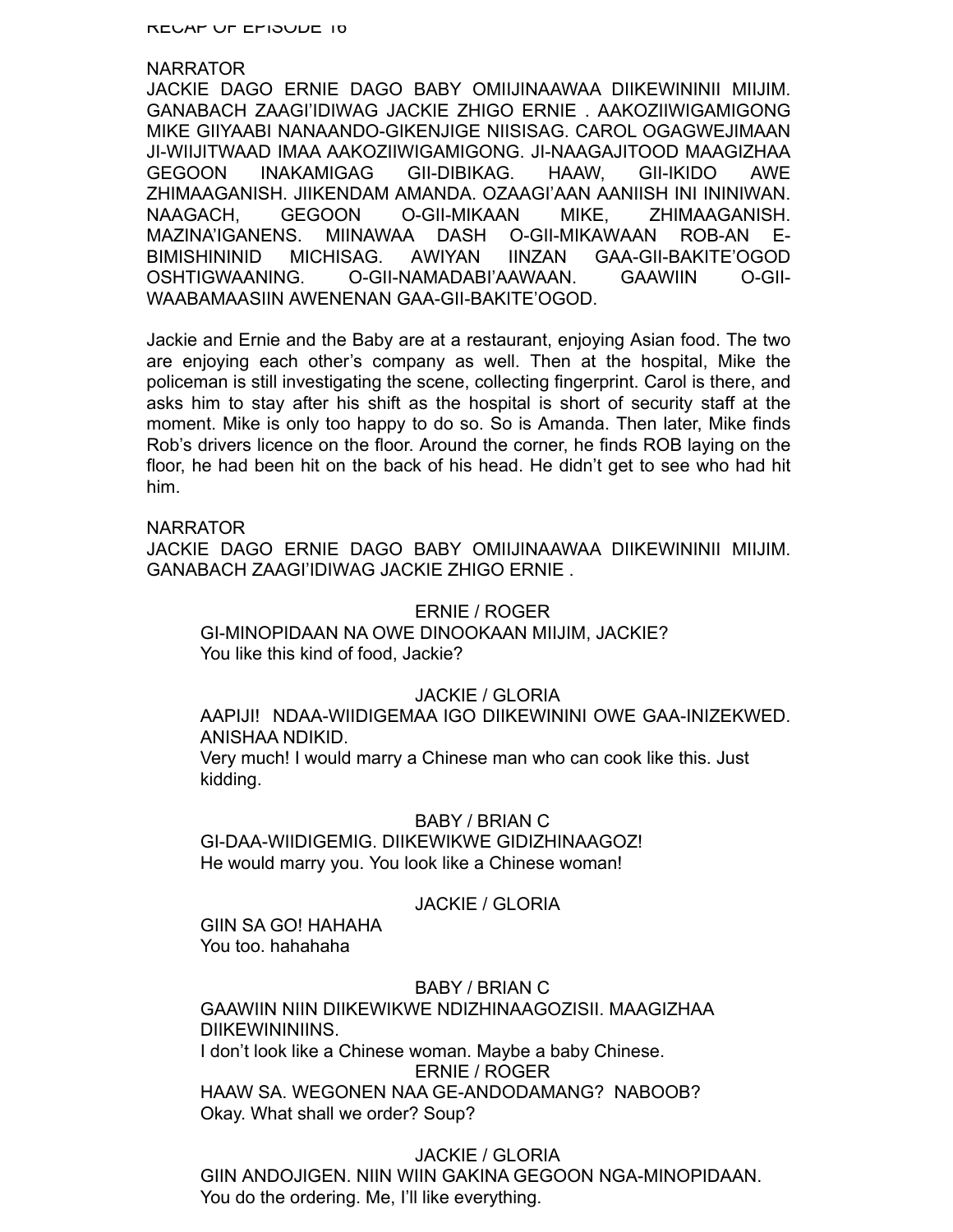RECAP OF EPISODE 16

### NARRATOR

JACKIE DAGO ERNIE DAGO BABY OMIIJINAAWAA DIIKEWININII MIIJIM. GANABACH ZAAGI'IDIWAG JACKIE ZHIGO ERNIE . AAKOZIIWIGAMIGONG MIKE GIIYAABI NANAANDO-GIKENJIGE NIISISAG. CAROL OGAGWEJIMAAN JI-WIIJITWAAD IMAA AAKOZIIWIGAMIGONG. JI-NAAGAJITOOD MAAGIZHAA GEGOON INAKAMIGAG GII-DIBIKAG. HAAW, GII-IKIDO AWE ZHIMAAGANISH. JIIKENDAM AMANDA. OZAAGI'AAN AANIISH INI ININIWAN. NAAGACH, GEGOON O-GII-MIKAAN MIKE, ZHIMAAGANISH. MAZINA'IGANENS. MIINAWAA DASH O-GII-MIKAWAAN ROB-AN E-BIMISHININID MICHISAG. AWIYAN IINZAN GAA-GII-BAKITE'OGOD OSHTIGWAANING. O-GII-NAMADABI'AAWAAN. GAAWIIN O-GII-WAABAMAASIIN AWENENAN GAA-GII-BAKITE'OGOD.

Jackie and Ernie and the Baby are at a restaurant, enjoying Asian food. The two are enjoying each other's company as well. Then at the hospital, Mike the policeman is still investigating the scene, collecting fingerprint. Carol is there, and asks him to stay after his shift as the hospital is short of security staff at the moment. Mike is only too happy to do so. So is Amanda. Then later, Mike finds Rob's drivers licence on the floor. Around the corner, he finds ROB laying on the floor, he had been hit on the back of his head. He didn't get to see who had hit him.

### NARRATOR

JACKIE DAGO ERNIE DAGO BABY OMIIJINAAWAA DIIKEWININII MIIJIM. GANABACH ZAAGI'IDIWAG JACKIE ZHIGO ERNIE .

### ERNIE / ROGER

GI-MINOPIDAAN NA OWE DINOOKAAN MIIJIM, JACKIE? You like this kind of food, Jackie?

# JACKIE / GLORIA

AAPIJI! NDAA-WIIDIGEMAA IGO DIIKEWININI OWE GAA-INIZEKWED. ANISHAA NDIKID.

Very much! I would marry a Chinese man who can cook like this. Just kidding.

### BABY / BRIAN C

GI-DAA-WIIDIGEMIG. DIIKEWIKWE GIDIZHINAAGOZ! He would marry you. You look like a Chinese woman!

### JACKIE / GLORIA

GIIN SA GO! HAHAHA You too. hahahaha

### BABY / BRIAN C

GAAWIIN NIIN DIIKEWIKWE NDIZHINAAGOZISII. MAAGIZHAA DIIKEWININIINS. I don't look like a Chinese woman. Maybe a baby Chinese. ERNIE / ROGER HAAW SA. WEGONEN NAA GE-ANDODAMANG? NABOOB? Okay. What shall we order? Soup?

# JACKIE / GLORIA

GIIN ANDOJIGEN. NIIN WIIN GAKINA GEGOON NGA-MINOPIDAAN. You do the ordering. Me, I'll like everything.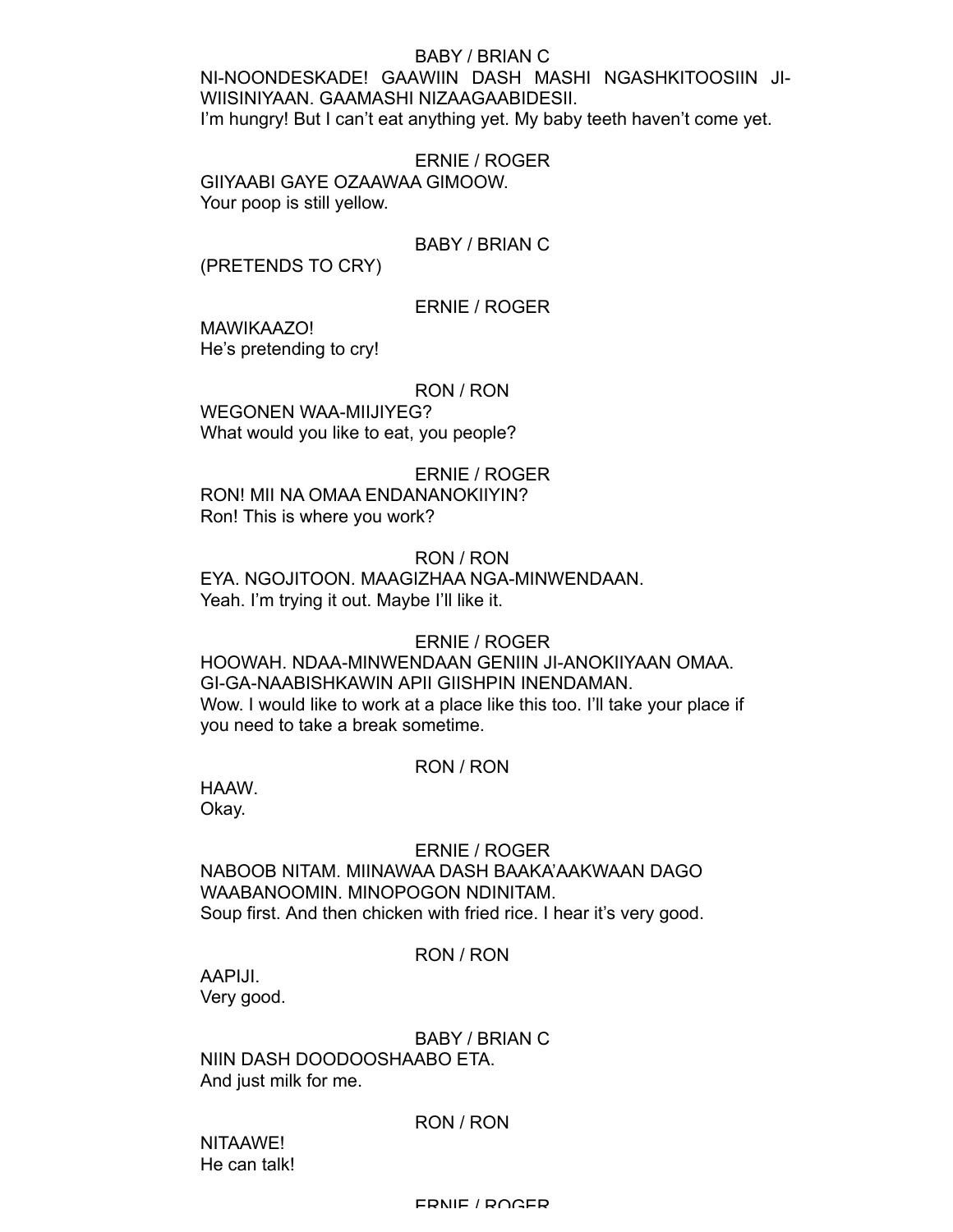# BABY / BRIAN C

NI-NOONDESKADE! GAAWIIN DASH MASHI NGASHKITOOSIIN JI-WIISINIYAAN. GAAMASHI NIZAAGAABIDESII. I'm hungry! But I can't eat anything yet. My baby teeth haven't come yet.

ERNIE / ROGER GIIYAABI GAYE OZAAWAA GIMOOW. Your poop is still yellow.

# BABY / BRIAN C

(PRETENDS TO CRY)

# ERNIE / ROGER

MAWIKAAZO! He's pretending to cry!

# RON / RON

WEGONEN WAA-MIIJIYEG? What would you like to eat, you people?

ERNIE / ROGER RON! MII NA OMAA ENDANANOKIIYIN? Ron! This is where you work?

# RON / RON

EYA. NGOJITOON. MAAGIZHAA NGA-MINWENDAAN. Yeah. I'm trying it out. Maybe I'll like it.

# ERNIE / ROGER

HOOWAH. NDAA-MINWENDAAN GENIIN JI-ANOKIIYAAN OMAA. GI-GA-NAABISHKAWIN APII GIISHPIN INENDAMAN. Wow. I would like to work at a place like this too. I'll take your place if you need to take a break sometime.

# RON / RON

HAAW. Okay.

# ERNIE / ROGER

NABOOB NITAM. MIINAWAA DASH BAAKA'AAKWAAN DAGO WAABANOOMIN. MINOPOGON NDINITAM. Soup first. And then chicken with fried rice. I hear it's very good.

# RON / RON

AAPIJI. Very good.

BABY / BRIAN C

NIIN DASH DOODOOSHAABO ETA. And just milk for me.

# RON / RON

NITAAWE! He can talk!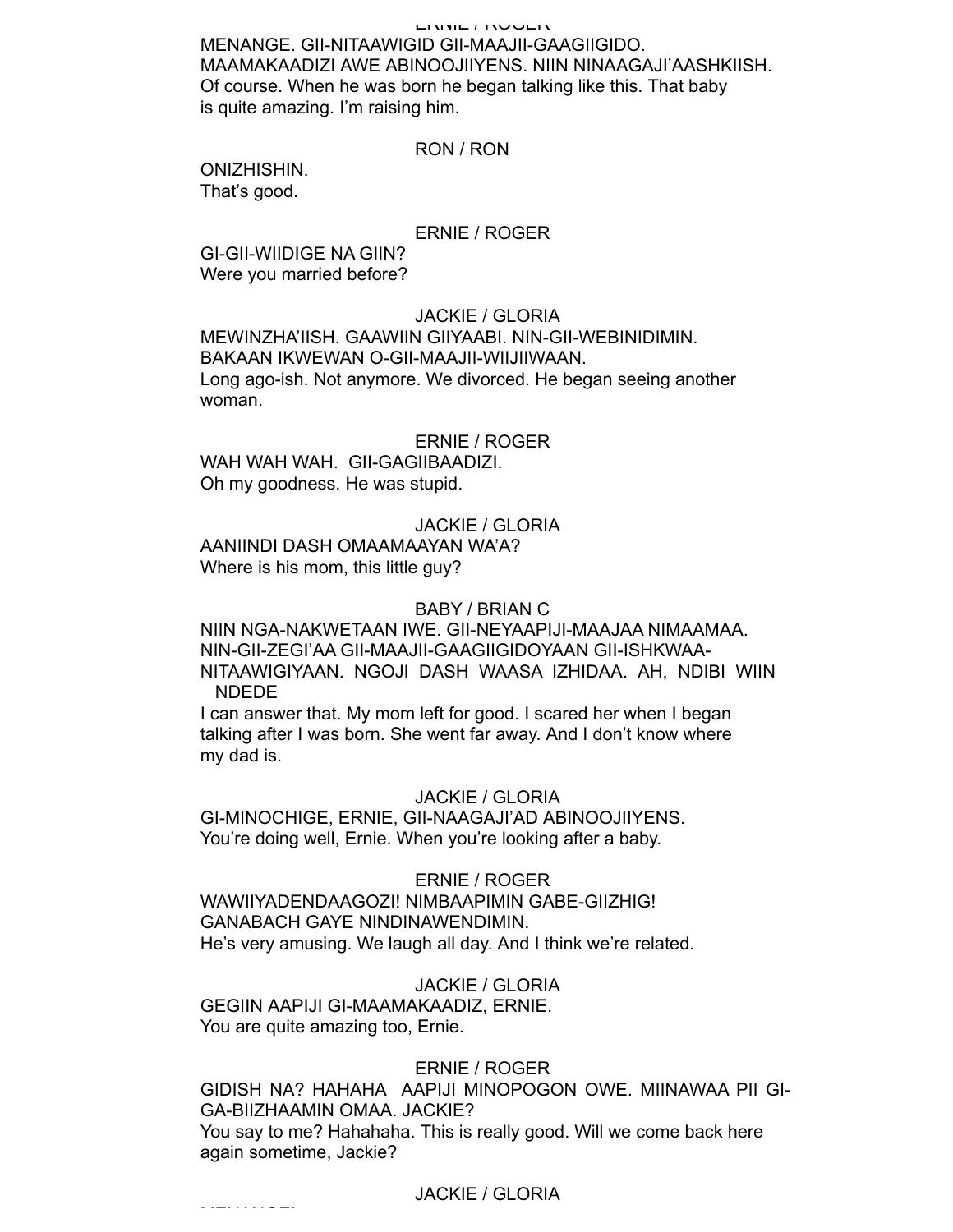#### ERNIE / ROGER

MENANGE. GII-NITAAWIGID GII-MAAJII-GAAGIIGIDO. MAAMAKAADIZI AWE ABINOOJIIYENS. NIIN NINAAGAJI'AASHKIISH. Of course. When he was born he began talking like this. That baby is quite amazing. I'm raising him.

### RON / RON

ONIZHISHIN. That's good.

#### ERNIE / ROGER

GI-GII-WIIDIGE NA GIIN? Were you married before?

### JACKIE / GLORIA

MEWINZHA'IISH. GAAWIIN GIIYAABI. NIN-GII-WEBINIDIMIN. BAKAAN IKWEWAN O-GII-MAAJII-WIIJIIWAAN. Long ago-ish. Not anymore. We divorced. He began seeing another woman.

### ERNIE / ROGER

WAH WAH WAH. GII-GAGIIBAADIZI. Oh my goodness. He was stupid.

### JACKIE / GLORIA

AANIINDI DASH OMAAMAAYAN WA'A? Where is his mom, this little guy?

### BABY / BRIAN C

NIIN NGA-NAKWETAAN IWE. GII-NEYAAPIJI-MAAJAA NIMAAMAA. NIN-GII-ZEGI'AA GII-MAAJII-GAAGIIGIDOYAAN GII-ISHKWAA-NITAAWIGIYAAN. NGOJI DASH WAASA IZHIDAA. AH, NDIBI WIIN NDEDE

I can answer that. My mom left for good. I scared her when I began talking after I was born. She went far away. And I don't know where my dad is.

#### JACKIE / GLORIA

GI-MINOCHIGE, ERNIE, GII-NAAGAJI'AD ABINOOJIIYENS. You're doing well, Ernie. When you're looking after a baby.

### ERNIE / ROGER

WAWIIYADENDAAGOZI! NIMBAAPIMIN GABE-GIIZHIG! GANABACH GAYE NINDINAWENDIMIN. He's very amusing. We laugh all day. And I think we're related.

JACKIE / GLORIA

GEGIIN AAPIJI GI-MAAMAKAADIZ, ERNIE. You are quite amazing too, Ernie.

MENANGE!

# ERNIE / ROGER

GIDISH NA? HAHAHA AAPIJI MINOPOGON OWE. MIINAWAA PII GI-GA-BIIZHAAMIN OMAA. JACKIE? You say to me? Hahahaha. This is really good. Will we come back here again sometime, Jackie?

### JACKIE / GLORIA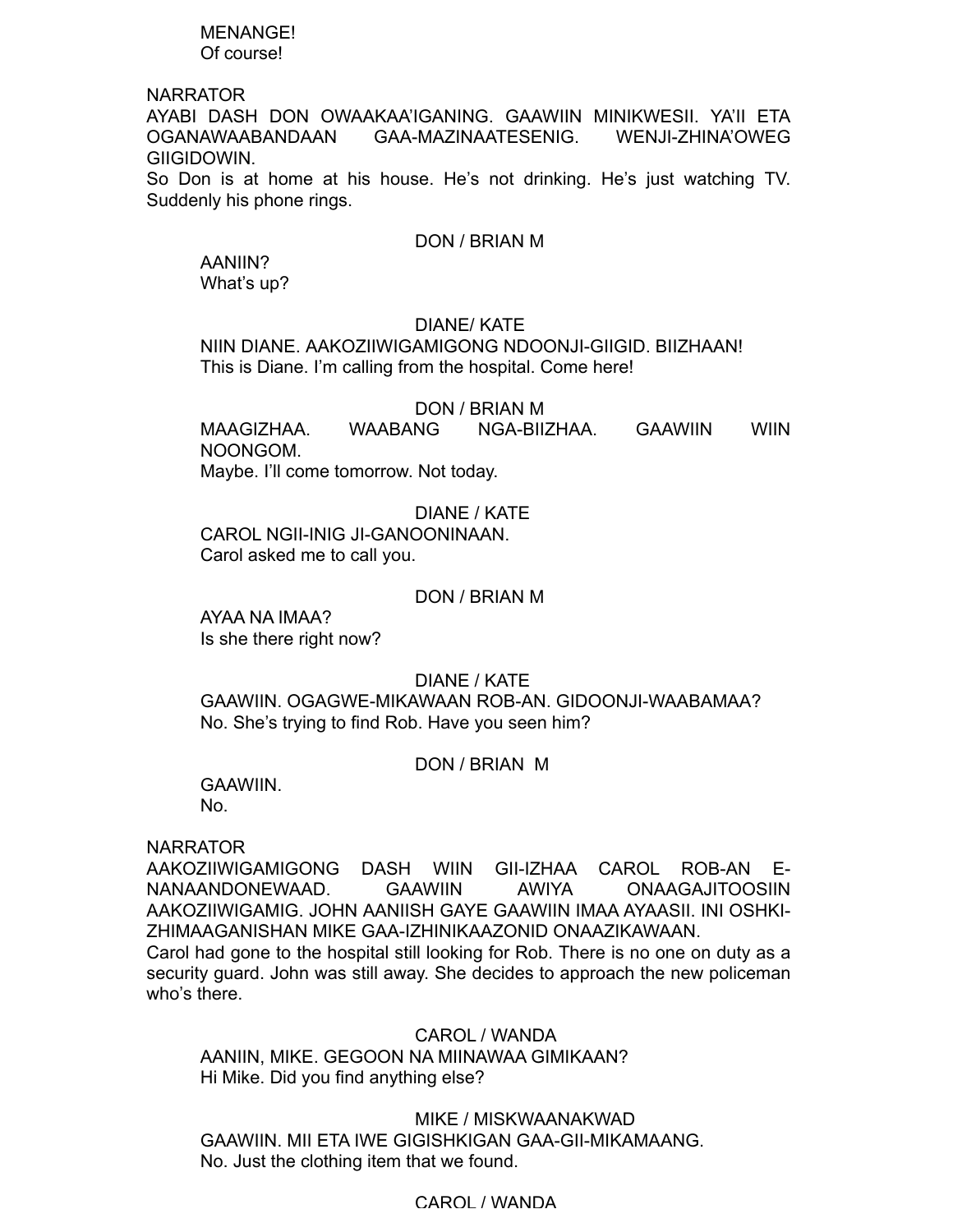### MENANGE! Of course!

# NARRATOR

AYABI DASH DON OWAAKAA'IGANING. GAAWIIN MINIKWESII. YA'II ETA OGANAWAABANDAAN GAA-MAZINAATESENIG. WENJI-ZHINA'OWEG GIIGIDOWIN.

So Don is at home at his house. He's not drinking. He's just watching TV. Suddenly his phone rings.

# DON / BRIAN M

AANIIN? What's up?

# DIANE/ KATE

NIIN DIANE. AAKOZIIWIGAMIGONG NDOONJI-GIIGID. BIIZHAAN! This is Diane. I'm calling from the hospital. Come here!

# DON / BRIAN M

MAAGIZHAA. WAABANG NGA-BIIZHAA. GAAWIIN WIIN NOONGOM. Maybe. I'll come tomorrow. Not today.

# DIANE / KATE

CAROL NGII-INIG JI-GANOONINAAN. Carol asked me to call you.

# DON / BRIAN M

AYAA NA IMAA? Is she there right now?

# DIANE / KATE

GAAWIIN. OGAGWE-MIKAWAAN ROB-AN. GIDOONJI-WAABAMAA? No. She's trying to find Rob. Have you seen him?

# DON / BRIAN M

GAAWIIN.

No.

# NARRATOR

AAKOZIIWIGAMIGONG DASH WIIN GII-IZHAA CAROL ROB-AN E-NANAANDONEWAAD. GAAWIIN AWIYA ONAAGAJITOOSIIN AAKOZIIWIGAMIG. JOHN AANIISH GAYE GAAWIIN IMAA AYAASII. INI OSHKI-ZHIMAAGANISHAN MIKE GAA-IZHINIKAAZONID ONAAZIKAWAAN. Carol had gone to the hospital still looking for Rob. There is no one on duty as a security guard. John was still away. She decides to approach the new policeman who's there.

CAROL / WANDA AANIIN, MIKE. GEGOON NA MIINAWAA GIMIKAAN? Hi Mike. Did you find anything else?

MIKE / MISKWAANAKWAD GAAWIIN. MII ETA IWE GIGISHKIGAN GAA-GII-MIKAMAANG. No. Just the clothing item that we found.

# CAROL / WANDA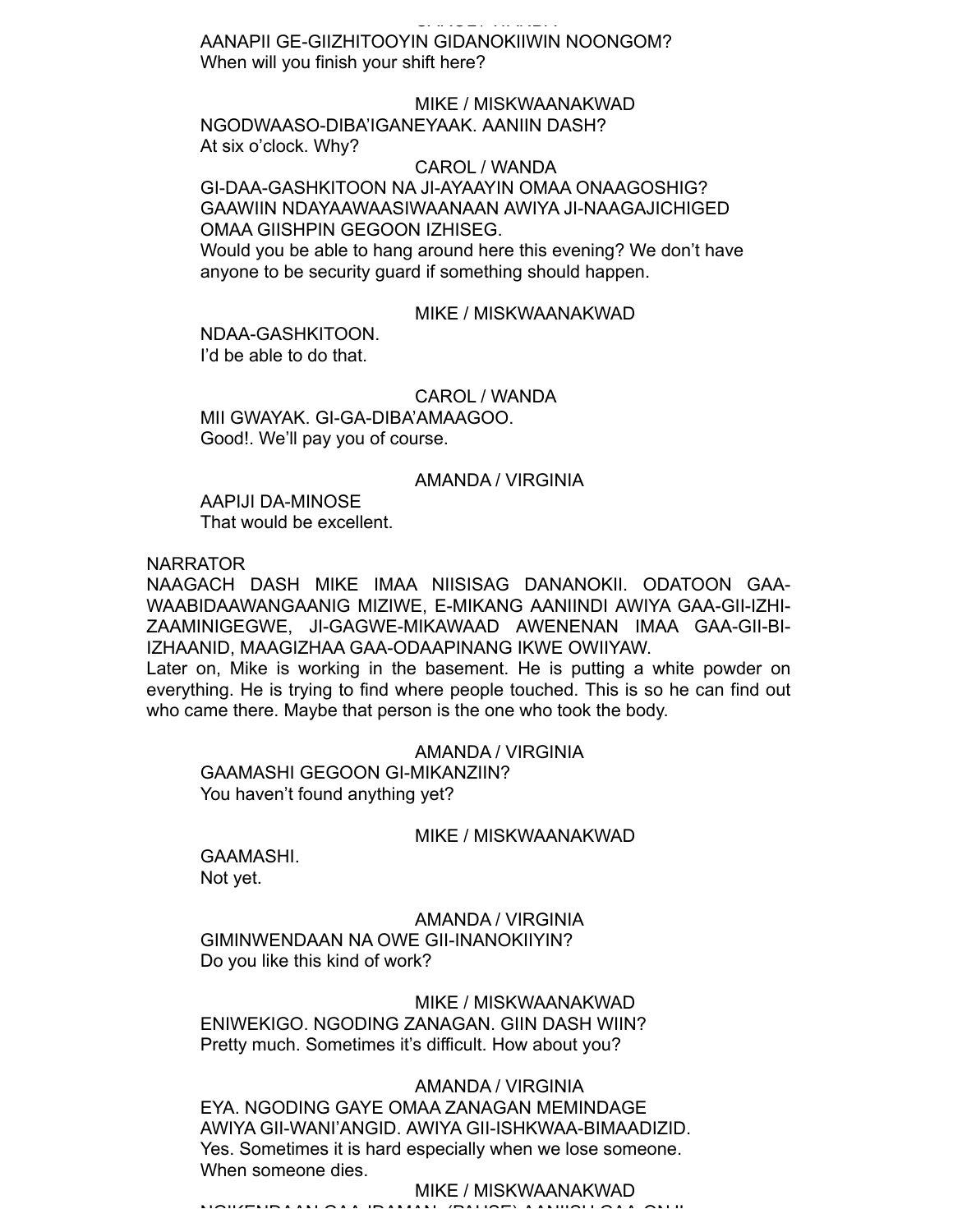# CAROL / WANDA

AANAPII GE-GIIZHITOOYIN GIDANOKIIWIN NOONGOM? When will you finish your shift here?

# MIKE / MISKWAANAKWAD

NGODWAASO-DIBA'IGANEYAAK. AANIIN DASH? At six o'clock. Why?

#### CAROL / WANDA

GI-DAA-GASHKITOON NA JI-AYAAYIN OMAA ONAAGOSHIG? GAAWIIN NDAYAAWAASIWAANAAN AWIYA JI-NAAGAJICHIGED OMAA GIISHPIN GEGOON IZHISEG. Would you be able to hang around here this evening? We don't have anyone to be security guard if something should happen.

#### MIKE / MISKWAANAKWAD

NDAA-GASHKITOON. I'd be able to do that.

CAROL / WANDA MII GWAYAK. GI-GA-DIBA'AMAAGOO. Good!. We'll pay you of course.

#### AMANDA / VIRGINIA

AAPIJI DA-MINOSE That would be excellent.

NARRATOR

NAAGACH DASH MIKE IMAA NIISISAG DANANOKII. ODATOON GAA-WAABIDAAWANGAANIG MIZIWE, E-MIKANG AANIINDI AWIYA GAA-GII-IZHI-ZAAMINIGEGWE, JI-GAGWE-MIKAWAAD AWENENAN IMAA GAA-GII-BI-IZHAANID, MAAGIZHAA GAA-ODAAPINANG IKWE OWIIYAW.

Later on, Mike is working in the basement. He is putting a white powder on everything. He is trying to find where people touched. This is so he can find out who came there. Maybe that person is the one who took the body.

AMANDA / VIRGINIA GAAMASHI GEGOON GI-MIKANZIIN? You haven't found anything yet?

#### MIKE / MISKWAANAKWAD

GAAMASHI. Not yet.

# AMANDA / VIRGINIA

GIMINWENDAAN NA OWE GII-INANOKIIYIN? Do you like this kind of work?

# MIKE / MISKWAANAKWAD

ENIWEKIGO. NGODING ZANAGAN. GIIN DASH WIIN? Pretty much. Sometimes it's difficult. How about you?

# AMANDA / VIRGINIA

EYA. NGODING GAYE OMAA ZANAGAN MEMINDAGE AWIYA GII-WANI'ANGID. AWIYA GII-ISHKWAA-BIMAADIZID. Yes. Sometimes it is hard especially when we lose someone. When someone dies.

# MIKE / MISKWAANAKWAD

NGIKENDAAN GAA-IDAMAN. (PAUSE) AANIISH GAA-ONJI-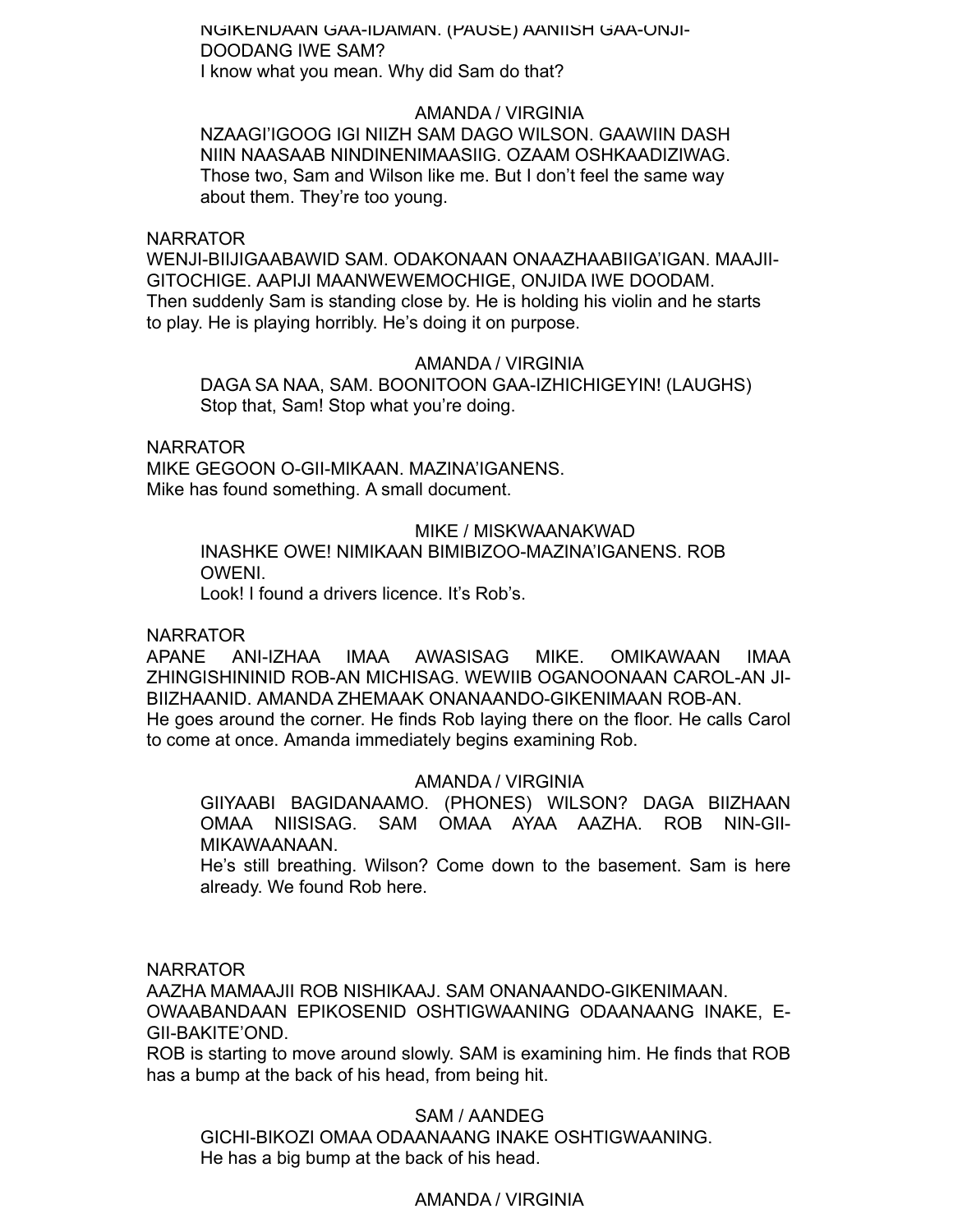NGIKENDAAN GAA-IDAMAN. (PAUSE) AANIISH GAA-ONJI-DOODANG IWE SAM? I know what you mean. Why did Sam do that?

AMANDA / VIRGINIA NZAAGI'IGOOG IGI NIIZH SAM DAGO WILSON. GAAWIIN DASH NIIN NAASAAB NINDINENIMAASIIG. OZAAM OSHKAADIZIWAG. Those two, Sam and Wilson like me. But I don't feel the same way about them. They're too young.

# NARRATOR

WENJI-BIIJIGAABAWID SAM. ODAKONAAN ONAAZHAABIIGA'IGAN. MAAJII-GITOCHIGE. AAPIJI MAANWEWEMOCHIGE, ONJIDA IWE DOODAM. Then suddenly Sam is standing close by. He is holding his violin and he starts to play. He is playing horribly. He's doing it on purpose.

# AMANDA / VIRGINIA

DAGA SA NAA, SAM. BOONITOON GAA-IZHICHIGEYIN! (LAUGHS) Stop that, Sam! Stop what you're doing.

NARRATOR

MIKE GEGOON O-GII-MIKAAN. MAZINA'IGANENS. Mike has found something. A small document.

### MIKE / MISKWAANAKWAD

INASHKE OWE! NIMIKAAN BIMIBIZOO-MAZINA'IGANENS. ROB OWENI.

Look! I found a drivers licence. It's Rob's.

# NARRATOR

APANE ANI-IZHAA IMAA AWASISAG MIKE. OMIKAWAAN IMAA ZHINGISHININID ROB-AN MICHISAG. WEWIIB OGANOONAAN CAROL-AN JI-BIIZHAANID. AMANDA ZHEMAAK ONANAANDO-GIKENIMAAN ROB-AN. He goes around the corner. He finds Rob laying there on the floor. He calls Carol to come at once. Amanda immediately begins examining Rob.

# AMANDA / VIRGINIA

GIIYAABI BAGIDANAAMO. (PHONES) WILSON? DAGA BIIZHAAN OMAA NIISISAG. SAM OMAA AYAA AAZHA. ROB NIN-GII-MIKAWAANAAN.

He's still breathing. Wilson? Come down to the basement. Sam is here already. We found Rob here.

NARRATOR

AAZHA MAMAAJII ROB NISHIKAAJ. SAM ONANAANDO-GIKENIMAAN. OWAABANDAAN EPIKOSENID OSHTIGWAANING ODAANAANG INAKE, E-GII-BAKITE'OND.

ROB is starting to move around slowly. SAM is examining him. He finds that ROB has a bump at the back of his head, from being hit.

# SAM / AANDEG

GICHI-BIKOZI OMAA ODAANAANG INAKE OSHTIGWAANING. He has a big bump at the back of his head.

# AMANDA / VIRGINIA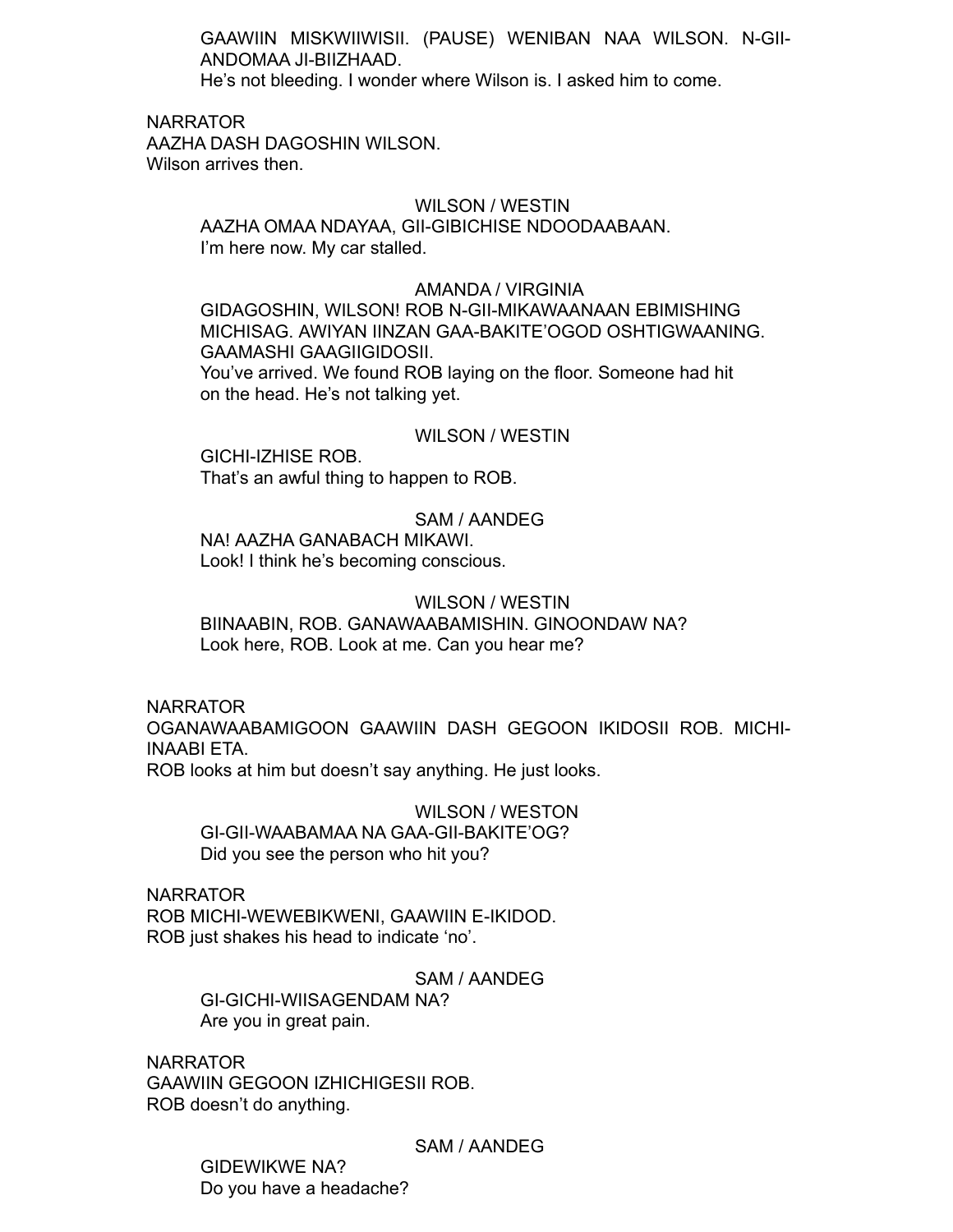GAAWIIN MISKWIIWISII. (PAUSE) WENIBAN NAA WILSON. N-GII-ANDOMAA JI-BIIZHAAD.

AMANDA / VIRGINIA

He's not bleeding. I wonder where Wilson is. I asked him to come.

NARRATOR

AAZHA DASH DAGOSHIN WILSON. Wilson arrives then.

# WILSON / WESTIN

AAZHA OMAA NDAYAA, GII-GIBICHISE NDOODAABAAN. I'm here now. My car stalled.

### AMANDA / VIRGINIA

GIDAGOSHIN, WILSON! ROB N-GII-MIKAWAANAAN EBIMISHING MICHISAG. AWIYAN IINZAN GAA-BAKITE'OGOD OSHTIGWAANING. GAAMASHI GAAGIIGIDOSII. You've arrived. We found ROB laying on the floor. Someone had hit on the head. He's not talking yet.

# WILSON / WESTIN

GICHI-IZHISE ROB. That's an awful thing to happen to ROB.

# SAM / AANDEG

NA! AAZHA GANABACH MIKAWI. Look! I think he's becoming conscious.

### WILSON / WESTIN

BIINAABIN, ROB. GANAWAABAMISHIN. GINOONDAW NA? Look here, ROB. Look at me. Can you hear me?

NARRATOR

OGANAWAABAMIGOON GAAWIIN DASH GEGOON IKIDOSII ROB. MICHI-INAABI ETA.

ROB looks at him but doesn't say anything. He just looks.

WILSON / WESTON GI-GII-WAABAMAA NA GAA-GII-BAKITE'OG? Did you see the person who hit you?

NARRATOR ROB MICHI-WEWEBIKWENI, GAAWIIN E-IKIDOD. ROB just shakes his head to indicate 'no'.

> SAM / AANDEG GI-GICHI-WIISAGENDAM NA? Are you in great pain.

NARRATOR GAAWIIN GEGOON IZHICHIGESII ROB. ROB doesn't do anything.

SAM / AANDEG

GIDEWIKWE NA? Do you have a headache?